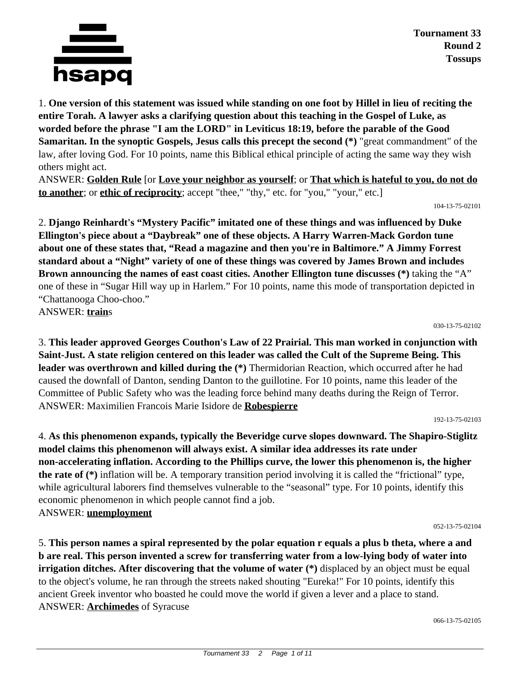

1. **One version of this statement was issued while standing on one foot by Hillel in lieu of reciting the entire Torah. A lawyer asks a clarifying question about this teaching in the Gospel of Luke, as worded before the phrase "I am the LORD" in Leviticus 18:19, before the parable of the Good Samaritan. In the synoptic Gospels, Jesus calls this precept the second (\*)** "great commandment" of the law, after loving God. For 10 points, name this Biblical ethical principle of acting the same way they wish others might act.

ANSWER: **Golden Rule** [or **Love your neighbor as yourself**; or **That which is hateful to you, do not do to another**; or **ethic of reciprocity**; accept "thee," "thy," etc. for "you," "your," etc.]

104-13-75-02101

2. **Django Reinhardt's "Mystery Pacific" imitated one of these things and was influenced by Duke Ellington's piece about a "Daybreak" one of these objects. A Harry Warren-Mack Gordon tune about one of these states that, "Read a magazine and then you're in Baltimore." A Jimmy Forrest standard about a "Night" variety of one of these things was covered by James Brown and includes Brown announcing the names of east coast cities. Another Ellington tune discusses (\*)** taking the "A" one of these in "Sugar Hill way up in Harlem." For 10 points, name this mode of transportation depicted in "Chattanooga Choo-choo." ANSWER: **train**s

030-13-75-02102

3. **This leader approved Georges Couthon's Law of 22 Prairial. This man worked in conjunction with Saint-Just. A state religion centered on this leader was called the Cult of the Supreme Being. This leader was overthrown and killed during the (\*)** Thermidorian Reaction, which occurred after he had caused the downfall of Danton, sending Danton to the guillotine. For 10 points, name this leader of the Committee of Public Safety who was the leading force behind many deaths during the Reign of Terror. ANSWER: Maximilien Francois Marie Isidore de **Robespierre**

192-13-75-02103

4. **As this phenomenon expands, typically the Beveridge curve slopes downward. The Shapiro-Stiglitz model claims this phenomenon will always exist. A similar idea addresses its rate under non-accelerating inflation. According to the Phillips curve, the lower this phenomenon is, the higher the rate of (\*)** inflation will be. A temporary transition period involving it is called the "frictional" type, while agricultural laborers find themselves vulnerable to the "seasonal" type. For 10 points, identify this economic phenomenon in which people cannot find a job. ANSWER: **unemployment**

052-13-75-02104

5. **This person names a spiral represented by the polar equation r equals a plus b theta, where a and b are real. This person invented a screw for transferring water from a low-lying body of water into irrigation ditches. After discovering that the volume of water (\*)** displaced by an object must be equal to the object's volume, he ran through the streets naked shouting "Eureka!" For 10 points, identify this ancient Greek inventor who boasted he could move the world if given a lever and a place to stand. ANSWER: **Archimedes** of Syracuse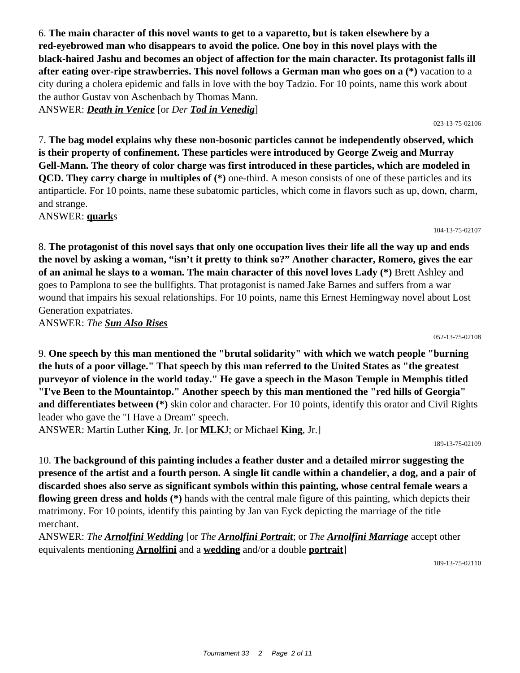6. **The main character of this novel wants to get to a vaparetto, but is taken elsewhere by a red-eyebrowed man who disappears to avoid the police. One boy in this novel plays with the black-haired Jashu and becomes an object of affection for the main character. Its protagonist falls ill after eating over-ripe strawberries. This novel follows a German man who goes on a (\*)** vacation to a city during a cholera epidemic and falls in love with the boy Tadzio. For 10 points, name this work about the author Gustav von Aschenbach by Thomas Mann. ANSWER: *Death in Venice* [or *Der Tod in Venedig*]

023-13-75-02106

7. **The bag model explains why these non-bosonic particles cannot be independently observed, which is their property of confinement. These particles were introduced by George Zweig and Murray Gell-Mann. The theory of color charge was first introduced in these particles, which are modeled in QCD. They carry charge in multiples of (\*)** one-third. A meson consists of one of these particles and its antiparticle. For 10 points, name these subatomic particles, which come in flavors such as up, down, charm, and strange.

ANSWER: **quark**s

8. **The protagonist of this novel says that only one occupation lives their life all the way up and ends the novel by asking a woman, "isn't it pretty to think so?" Another character, Romero, gives the ear of an animal he slays to a woman. The main character of this novel loves Lady (\*)** Brett Ashley and goes to Pamplona to see the bullfights. That protagonist is named Jake Barnes and suffers from a war wound that impairs his sexual relationships. For 10 points, name this Ernest Hemingway novel about Lost Generation expatriates.

ANSWER: *The Sun Also Rises*

052-13-75-02108

104-13-75-02107

9. **One speech by this man mentioned the "brutal solidarity" with which we watch people "burning the huts of a poor village." That speech by this man referred to the United States as "the greatest purveyor of violence in the world today." He gave a speech in the Mason Temple in Memphis titled "I've Been to the Mountaintop." Another speech by this man mentioned the "red hills of Georgia" and differentiates between (\*)** skin color and character. For 10 points, identify this orator and Civil Rights leader who gave the "I Have a Dream" speech. ANSWER: Martin Luther **King**, Jr. [or **MLK**J; or Michael **King**, Jr.]

189-13-75-02109

10. **The background of this painting includes a feather duster and a detailed mirror suggesting the presence of the artist and a fourth person. A single lit candle within a chandelier, a dog, and a pair of discarded shoes also serve as significant symbols within this painting, whose central female wears a flowing green dress and holds (\*)** hands with the central male figure of this painting, which depicts their matrimony. For 10 points, identify this painting by Jan van Eyck depicting the marriage of the title merchant.

ANSWER: *The Arnolfini Wedding* [or *The Arnolfini Portrait*; or *The Arnolfini Marriage* accept other equivalents mentioning **Arnolfini** and a **wedding** and/or a double **portrait**]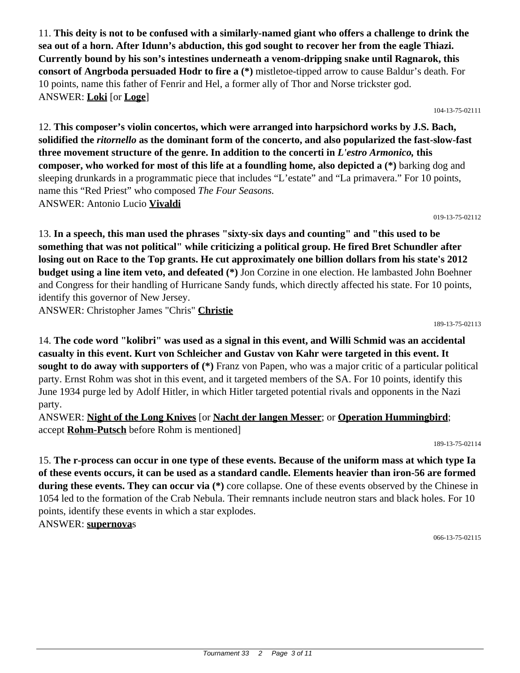11. **This deity is not to be confused with a similarly-named giant who offers a challenge to drink the sea out of a horn. After Idunn's abduction, this god sought to recover her from the eagle Thiazi. Currently bound by his son's intestines underneath a venom-dripping snake until Ragnarok, this consort of Angrboda persuaded Hodr to fire a (\*)** mistletoe-tipped arrow to cause Baldur's death. For 10 points, name this father of Fenrir and Hel, a former ally of Thor and Norse trickster god. ANSWER: **Loki** [or **Loge**]

104-13-75-02111

12. **This composer's violin concertos, which were arranged into harpsichord works by J.S. Bach, solidified the** *ritornello* **as the dominant form of the concerto, and also popularized the fast-slow-fast three movement structure of the genre. In addition to the concerti in** *L'estro Armonico,* **this composer, who worked for most of this life at a foundling home, also depicted a (\*)** barking dog and sleeping drunkards in a programmatic piece that includes "L'estate" and "La primavera." For 10 points, name this "Red Priest" who composed *The Four Seasons.* ANSWER: Antonio Lucio **Vivaldi**

019-13-75-02112

13. **In a speech, this man used the phrases "sixty-six days and counting" and "this used to be something that was not political" while criticizing a political group. He fired Bret Schundler after losing out on Race to the Top grants. He cut approximately one billion dollars from his state's 2012 budget using a line item veto, and defeated (\*)** Jon Corzine in one election. He lambasted John Boehner and Congress for their handling of Hurricane Sandy funds, which directly affected his state. For 10 points, identify this governor of New Jersey.

ANSWER: Christopher James "Chris" **Christie**

189-13-75-02113

14. **The code word "kolibri" was used as a signal in this event, and Willi Schmid was an accidental casualty in this event. Kurt von Schleicher and Gustav von Kahr were targeted in this event. It sought to do away with supporters of (\*)** Franz von Papen, who was a major critic of a particular political party. Ernst Rohm was shot in this event, and it targeted members of the SA. For 10 points, identify this June 1934 purge led by Adolf Hitler, in which Hitler targeted potential rivals and opponents in the Nazi party.

ANSWER: **Night of the Long Knives** [or **Nacht der langen Messer**; or **Operation Hummingbird**; accept **Rohm-Putsch** before Rohm is mentioned]

189-13-75-02114

15. **The r-process can occur in one type of these events. Because of the uniform mass at which type Ia of these events occurs, it can be used as a standard candle. Elements heavier than iron-56 are formed during these events. They can occur via (\*)** core collapse. One of these events observed by the Chinese in 1054 led to the formation of the Crab Nebula. Their remnants include neutron stars and black holes. For 10 points, identify these events in which a star explodes. ANSWER: **supernova**s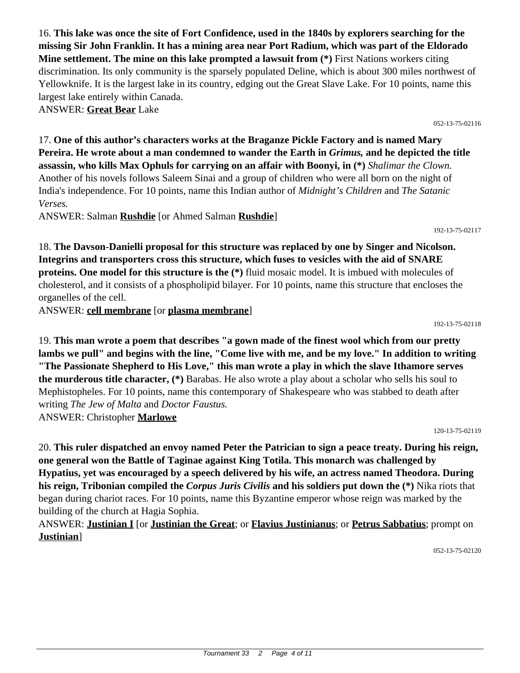16. **This lake was once the site of Fort Confidence, used in the 1840s by explorers searching for the missing Sir John Franklin. It has a mining area near Port Radium, which was part of the Eldorado Mine settlement. The mine on this lake prompted a lawsuit from (\*)** First Nations workers citing discrimination. Its only community is the sparsely populated Deline, which is about 300 miles northwest of Yellowknife. It is the largest lake in its country, edging out the Great Slave Lake. For 10 points, name this largest lake entirely within Canada. ANSWER: **Great Bear** Lake

17. **One of this author's characters works at the Braganze Pickle Factory and is named Mary Pereira. He wrote about a man condemned to wander the Earth in** *Grimus,* **and he depicted the title assassin, who kills Max Ophuls for carrying on an affair with Boonyi, in (\*)** *Shalimar the Clown.* Another of his novels follows Saleem Sinai and a group of children who were all born on the night of India's independence. For 10 points, name this Indian author of *Midnight's Children* and *The Satanic Verses.*

ANSWER: Salman **Rushdie** [or Ahmed Salman **Rushdie**]

18. **The Davson-Danielli proposal for this structure was replaced by one by Singer and Nicolson. Integrins and transporters cross this structure, which fuses to vesicles with the aid of SNARE proteins. One model for this structure is the (\*)** fluid mosaic model. It is imbued with molecules of cholesterol, and it consists of a phospholipid bilayer. For 10 points, name this structure that encloses the organelles of the cell.

ANSWER: **cell membrane** [or **plasma membrane**]

19. **This man wrote a poem that describes "a gown made of the finest wool which from our pretty lambs we pull" and begins with the line, "Come live with me, and be my love." In addition to writing "The Passionate Shepherd to His Love," this man wrote a play in which the slave Ithamore serves the murderous title character, (\*)** Barabas. He also wrote a play about a scholar who sells his soul to Mephistopheles. For 10 points, name this contemporary of Shakespeare who was stabbed to death after writing *The Jew of Malta* and *Doctor Faustus.* ANSWER: Christopher **Marlowe**

20. **This ruler dispatched an envoy named Peter the Patrician to sign a peace treaty. During his reign,**

**one general won the Battle of Taginae against King Totila. This monarch was challenged by Hypatius, yet was encouraged by a speech delivered by his wife, an actress named Theodora. During his reign, Tribonian compiled the** *Corpus Juris Civilis* **and his soldiers put down the (\*)** Nika riots that began during chariot races. For 10 points, name this Byzantine emperor whose reign was marked by the building of the church at Hagia Sophia.

ANSWER: **Justinian I** [or **Justinian the Great**; or **Flavius Justinianus**; or **Petrus Sabbatius**; prompt on **Justinian**]

052-13-75-02120

192-13-75-02117

192-13-75-02118

120-13-75-02119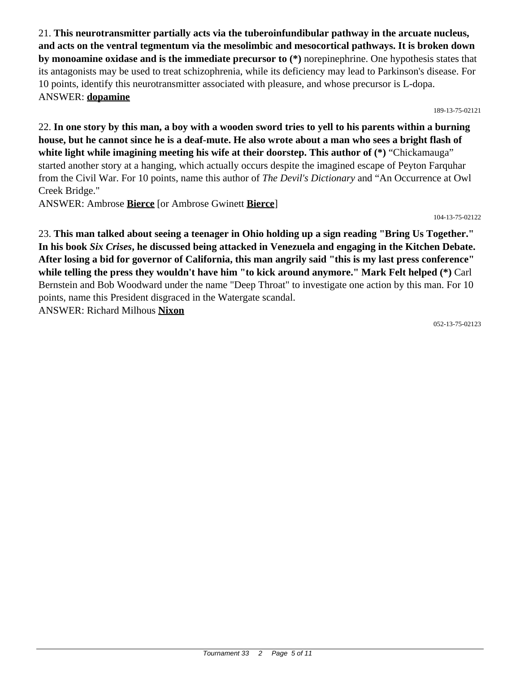21. **This neurotransmitter partially acts via the tuberoinfundibular pathway in the arcuate nucleus, and acts on the ventral tegmentum via the mesolimbic and mesocortical pathways. It is broken down by monoamine oxidase and is the immediate precursor to (\*)** norepinephrine. One hypothesis states that its antagonists may be used to treat schizophrenia, while its deficiency may lead to Parkinson's disease. For 10 points, identify this neurotransmitter associated with pleasure, and whose precursor is L-dopa. ANSWER: **dopamine**

189-13-75-02121

22. **In one story by this man, a boy with a wooden sword tries to yell to his parents within a burning house, but he cannot since he is a deaf-mute. He also wrote about a man who sees a bright flash of white light while imagining meeting his wife at their doorstep. This author of (\*)** "Chickamauga" started another story at a hanging, which actually occurs despite the imagined escape of Peyton Farquhar from the Civil War. For 10 points, name this author of *The Devil's Dictionary* and "An Occurrence at Owl Creek Bridge."

ANSWER: Ambrose **Bierce** [or Ambrose Gwinett **Bierce**]

104-13-75-02122

23. **This man talked about seeing a teenager in Ohio holding up a sign reading "Bring Us Together." In his book** *Six Crises***, he discussed being attacked in Venezuela and engaging in the Kitchen Debate. After losing a bid for governor of California, this man angrily said "this is my last press conference" while telling the press they wouldn't have him "to kick around anymore." Mark Felt helped (\*)** Carl Bernstein and Bob Woodward under the name "Deep Throat" to investigate one action by this man. For 10 points, name this President disgraced in the Watergate scandal. ANSWER: Richard Milhous **Nixon**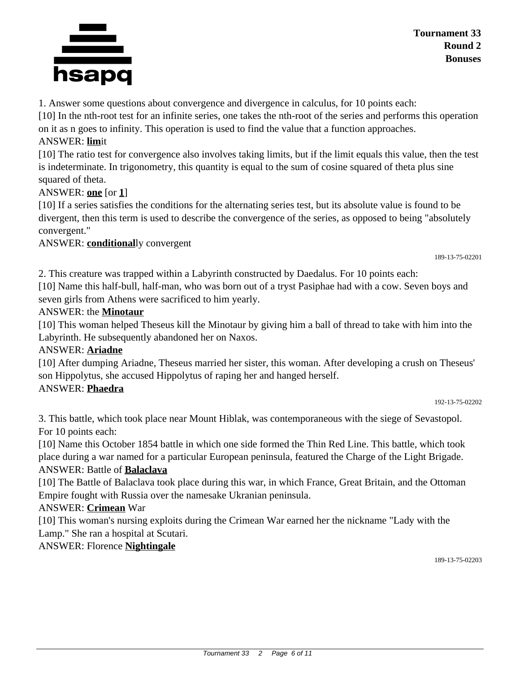

1. Answer some questions about convergence and divergence in calculus, for 10 points each:

[10] In the nth-root test for an infinite series, one takes the nth-root of the series and performs this operation on it as n goes to infinity. This operation is used to find the value that a function approaches.

#### ANSWER: **lim**it

[10] The ratio test for convergence also involves taking limits, but if the limit equals this value, then the test is indeterminate. In trigonometry, this quantity is equal to the sum of cosine squared of theta plus sine squared of theta.

#### ANSWER: **one** [or **1**]

[10] If a series satisfies the conditions for the alternating series test, but its absolute value is found to be divergent, then this term is used to describe the convergence of the series, as opposed to being "absolutely convergent."

ANSWER: **conditional**ly convergent

189-13-75-02201

2. This creature was trapped within a Labyrinth constructed by Daedalus. For 10 points each: [10] Name this half-bull, half-man, who was born out of a tryst Pasiphae had with a cow. Seven boys and seven girls from Athens were sacrificed to him yearly.

#### ANSWER: the **Minotaur**

[10] This woman helped Theseus kill the Minotaur by giving him a ball of thread to take with him into the Labyrinth. He subsequently abandoned her on Naxos.

#### ANSWER: **Ariadne**

[10] After dumping Ariadne, Theseus married her sister, this woman. After developing a crush on Theseus' son Hippolytus, she accused Hippolytus of raping her and hanged herself.

### ANSWER: **Phaedra**

#### 192-13-75-02202

3. This battle, which took place near Mount Hiblak, was contemporaneous with the siege of Sevastopol. For 10 points each:

[10] Name this October 1854 battle in which one side formed the Thin Red Line. This battle, which took place during a war named for a particular European peninsula, featured the Charge of the Light Brigade.

#### ANSWER: Battle of **Balaclava**

[10] The Battle of Balaclava took place during this war, in which France, Great Britain, and the Ottoman Empire fought with Russia over the namesake Ukranian peninsula.

ANSWER: **Crimean** War

[10] This woman's nursing exploits during the Crimean War earned her the nickname "Lady with the Lamp." She ran a hospital at Scutari.

ANSWER: Florence **Nightingale**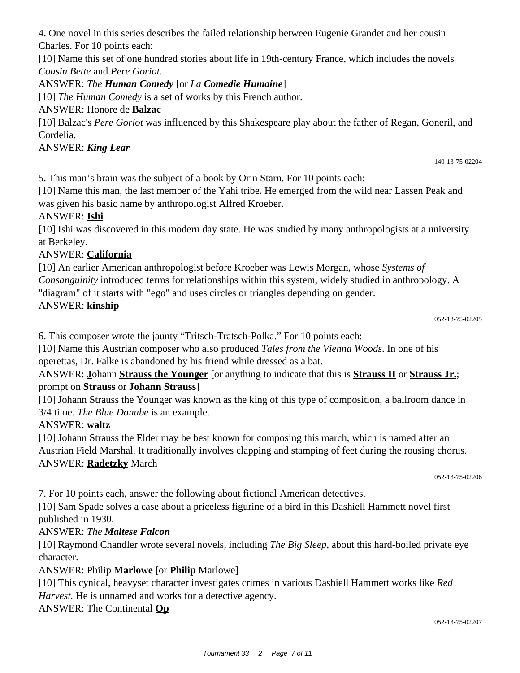4. One novel in this series describes the failed relationship between Eugenie Grandet and her cousin Charles. For 10 points each:

[10] Name this set of one hundred stories about life in 19th-century France, which includes the novels *Cousin Bette* and *Pere Goriot*.

# ANSWER: *The Human Comedy* [or *La Comedie Humaine*]

[10] *The Human Comedy* is a set of works by this French author.

# ANSWER: Honore de **Balzac**

[10] Balzac's *Pere Goriot* was influenced by this Shakespeare play about the father of Regan, Goneril, and Cordelia.

# ANSWER: *King Lear*

5. This man's brain was the subject of a book by Orin Starn. For 10 points each:

[10] Name this man, the last member of the Yahi tribe. He emerged from the wild near Lassen Peak and was given his basic name by anthropologist Alfred Kroeber.

# ANSWER: **Ishi**

[10] Ishi was discovered in this modern day state. He was studied by many anthropologists at a university at Berkeley.

# ANSWER: **California**

[10] An earlier American anthropologist before Kroeber was Lewis Morgan, whose *Systems of Consanguinity* introduced terms for relationships within this system, widely studied in anthropology. A "diagram" of it starts with "ego" and uses circles or triangles depending on gender.

# ANSWER: **kinship**

6. This composer wrote the jaunty "Tritsch-Tratsch-Polka." For 10 points each:

[10] Name this Austrian composer who also produced *Tales from the Vienna Woods*. In one of his operettas, Dr. Falke is abandoned by his friend while dressed as a bat.

# ANSWER: **J**ohann **Strauss the Younger** [or anything to indicate that this is **Strauss II** or **Strauss Jr.**; prompt on **Strauss** or **Johann Strauss**]

[10] Johann Strauss the Younger was known as the king of this type of composition, a ballroom dance in 3/4 time. *The Blue Danube* is an example.

# ANSWER: **waltz**

[10] Johann Strauss the Elder may be best known for composing this march, which is named after an Austrian Field Marshal. It traditionally involves clapping and stamping of feet during the rousing chorus. ANSWER: **Radetzky** March

052-13-75-02206

7. For 10 points each, answer the following about fictional American detectives.

[10] Sam Spade solves a case about a priceless figurine of a bird in this Dashiell Hammett novel first published in 1930.

# ANSWER: *The Maltese Falcon*

[10] Raymond Chandler wrote several novels, including *The Big Sleep,* about this hard-boiled private eye character.

# ANSWER: Philip **Marlowe** [or **Philip** Marlowe]

[10] This cynical, heavyset character investigates crimes in various Dashiell Hammett works like *Red Harvest.* He is unnamed and works for a detective agency.

ANSWER: The Continental **Op**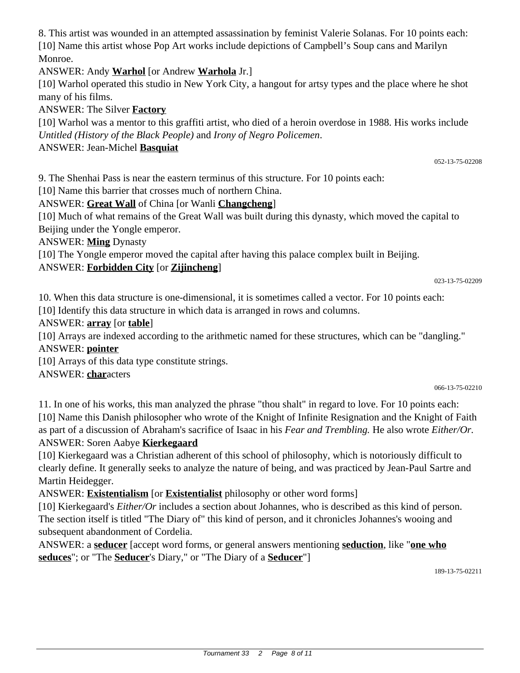8. This artist was wounded in an attempted assassination by feminist Valerie Solanas. For 10 points each: [10] Name this artist whose Pop Art works include depictions of Campbell's Soup cans and Marilyn Monroe.

ANSWER: Andy **Warhol** [or Andrew **Warhola** Jr.]

[10] Warhol operated this studio in New York City, a hangout for artsy types and the place where he shot many of his films.

ANSWER: The Silver **Factory**

[10] Warhol was a mentor to this graffiti artist, who died of a heroin overdose in 1988. His works include *Untitled (History of the Black People)* and *Irony of Negro Policemen*.

ANSWER: Jean-Michel **Basquiat**

9. The Shenhai Pass is near the eastern terminus of this structure. For 10 points each:

[10] Name this barrier that crosses much of northern China.

# ANSWER: **Great Wall** of China [or Wanli **Changcheng**]

[10] Much of what remains of the Great Wall was built during this dynasty, which moved the capital to Beijing under the Yongle emperor.

ANSWER: **Ming** Dynasty

[10] The Yongle emperor moved the capital after having this palace complex built in Beijing.

# ANSWER: **Forbidden City** [or **Zijincheng**]

023-13-75-02209

052-13-75-02208

10. When this data structure is one-dimensional, it is sometimes called a vector. For 10 points each:

[10] Identify this data structure in which data is arranged in rows and columns.

### ANSWER: **array** [or **table**]

[10] Arrays are indexed according to the arithmetic named for these structures, which can be "dangling." ANSWER: **pointer**

[10] Arrays of this data type constitute strings.

ANSWER: **char**acters

066-13-75-02210

11. In one of his works, this man analyzed the phrase "thou shalt" in regard to love. For 10 points each: [10] Name this Danish philosopher who wrote of the Knight of Infinite Resignation and the Knight of Faith as part of a discussion of Abraham's sacrifice of Isaac in his *Fear and Trembling.* He also wrote *Either/Or.* ANSWER: Soren Aabye **Kierkegaard**

[10] Kierkegaard was a Christian adherent of this school of philosophy, which is notoriously difficult to clearly define. It generally seeks to analyze the nature of being, and was practiced by Jean-Paul Sartre and Martin Heidegger.

ANSWER: **Existentialism** [or **Existentialist** philosophy or other word forms]

[10] Kierkegaard's *Either/Or* includes a section about Johannes, who is described as this kind of person. The section itself is titled "The Diary of" this kind of person, and it chronicles Johannes's wooing and subsequent abandonment of Cordelia.

ANSWER: a **seducer** [accept word forms, or general answers mentioning **seduction**, like "**one who seduces**"; or "The **Seducer**'s Diary," or "The Diary of a **Seducer**"]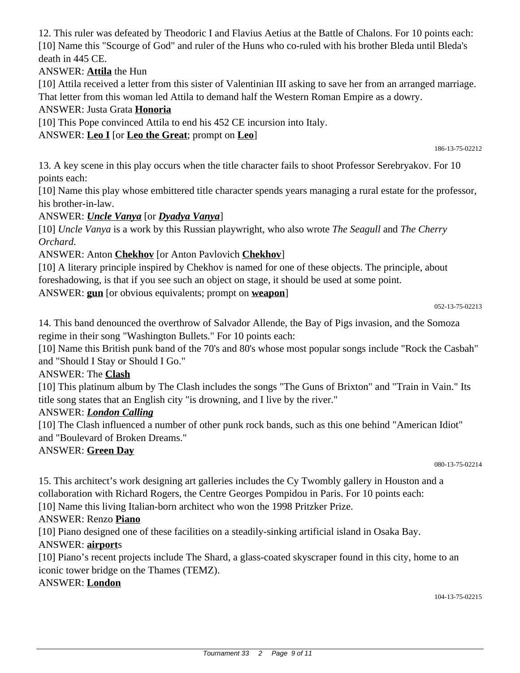12. This ruler was defeated by Theodoric I and Flavius Aetius at the Battle of Chalons. For 10 points each: [10] Name this "Scourge of God" and ruler of the Huns who co-ruled with his brother Bleda until Bleda's death in 445 CE.

### ANSWER: **Attila** the Hun

[10] Attila received a letter from this sister of Valentinian III asking to save her from an arranged marriage. That letter from this woman led Attila to demand half the Western Roman Empire as a dowry.

### ANSWER: Justa Grata **Honoria**

[10] This Pope convinced Attila to end his 452 CE incursion into Italy.

### ANSWER: **Leo I** [or **Leo the Great**; prompt on **Leo**]

186-13-75-02212

13. A key scene in this play occurs when the title character fails to shoot Professor Serebryakov. For 10 points each:

[10] Name this play whose embittered title character spends years managing a rural estate for the professor, his brother-in-law.

### ANSWER: *Uncle Vanya* [or *Dyadya Vanya*]

[10] *Uncle Vanya* is a work by this Russian playwright, who also wrote *The Seagull* and *The Cherry Orchard*.

### ANSWER: Anton **Chekhov** [or Anton Pavlovich **Chekhov**]

[10] A literary principle inspired by Chekhov is named for one of these objects. The principle, about foreshadowing, is that if you see such an object on stage, it should be used at some point.

ANSWER: **gun** [or obvious equivalents; prompt on **weapon**]

#### 052-13-75-02213

14. This band denounced the overthrow of Salvador Allende, the Bay of Pigs invasion, and the Somoza regime in their song "Washington Bullets." For 10 points each:

[10] Name this British punk band of the 70's and 80's whose most popular songs include "Rock the Casbah" and "Should I Stay or Should I Go."

### ANSWER: The **Clash**

[10] This platinum album by The Clash includes the songs "The Guns of Brixton" and "Train in Vain." Its title song states that an English city "is drowning, and I live by the river."

### ANSWER: *London Calling*

[10] The Clash influenced a number of other punk rock bands, such as this one behind "American Idiot" and "Boulevard of Broken Dreams."

### ANSWER: **Green Day**

15. This architect's work designing art galleries includes the Cy Twombly gallery in Houston and a collaboration with Richard Rogers, the Centre Georges Pompidou in Paris. For 10 points each:

[10] Name this living Italian-born architect who won the 1998 Pritzker Prize.

# ANSWER: Renzo **Piano**

[10] Piano designed one of these facilities on a steadily-sinking artificial island in Osaka Bay.

# ANSWER: **airport**s

[10] Piano's recent projects include The Shard, a glass-coated skyscraper found in this city, home to an iconic tower bridge on the Thames (TEMZ).

# ANSWER: **London**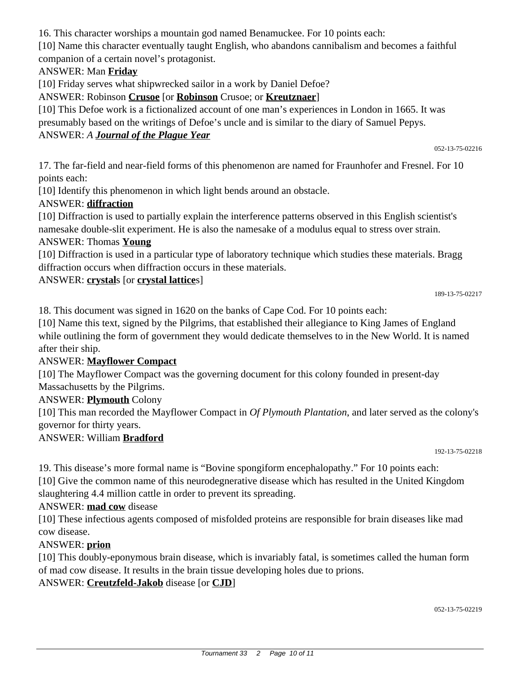16. This character worships a mountain god named Benamuckee. For 10 points each:

[10] Name this character eventually taught English, who abandons cannibalism and becomes a faithful companion of a certain novel's protagonist.

# ANSWER: Man **Friday**

[10] Friday serves what shipwrecked sailor in a work by Daniel Defoe?

ANSWER: Robinson **Crusoe** [or **Robinson** Crusoe; or **Kreutznaer**]

[10] This Defoe work is a fictionalized account of one man's experiences in London in 1665. It was presumably based on the writings of Defoe's uncle and is similar to the diary of Samuel Pepys.

### ANSWER: *A Journal of the Plague Year*

052-13-75-02216

17. The far-field and near-field forms of this phenomenon are named for Fraunhofer and Fresnel. For 10 points each:

[10] Identify this phenomenon in which light bends around an obstacle.

### ANSWER: **diffraction**

[10] Diffraction is used to partially explain the interference patterns observed in this English scientist's namesake double-slit experiment. He is also the namesake of a modulus equal to stress over strain.

### ANSWER: Thomas **Young**

[10] Diffraction is used in a particular type of laboratory technique which studies these materials. Bragg diffraction occurs when diffraction occurs in these materials.

### ANSWER: **crystal**s [or **crystal lattice**s]

18. This document was signed in 1620 on the banks of Cape Cod. For 10 points each:

[10] Name this text, signed by the Pilgrims, that established their allegiance to King James of England while outlining the form of government they would dedicate themselves to in the New World. It is named after their ship.

# ANSWER: **Mayflower Compact**

[10] The Mayflower Compact was the governing document for this colony founded in present-day Massachusetts by the Pilgrims.

### ANSWER: **Plymouth** Colony

[10] This man recorded the Mayflower Compact in *Of Plymouth Plantation*, and later served as the colony's governor for thirty years.

# ANSWER: William **Bradford**

192-13-75-02218

19. This disease's more formal name is "Bovine spongiform encephalopathy." For 10 points each: [10] Give the common name of this neurodegnerative disease which has resulted in the United Kingdom slaughtering 4.4 million cattle in order to prevent its spreading.

### ANSWER: **mad cow** disease

[10] These infectious agents composed of misfolded proteins are responsible for brain diseases like mad cow disease.

# ANSWER: **prion**

[10] This doubly-eponymous brain disease, which is invariably fatal, is sometimes called the human form of mad cow disease. It results in the brain tissue developing holes due to prions.

# ANSWER: **Creutzfeld-Jakob** disease [or **CJD**]